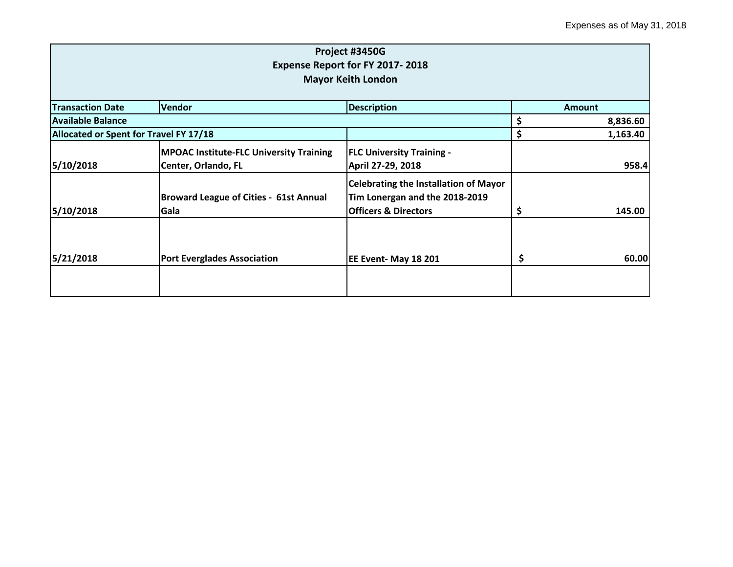|                                        |                                                                       | Project #3450G<br>Expense Report for FY 2017-2018                                                                 |                |
|----------------------------------------|-----------------------------------------------------------------------|-------------------------------------------------------------------------------------------------------------------|----------------|
|                                        |                                                                       | <b>Mayor Keith London</b>                                                                                         |                |
| <b>Transaction Date</b>                | Vendor                                                                | <b>Description</b>                                                                                                | Amount         |
| <b>Available Balance</b>               |                                                                       |                                                                                                                   | \$<br>8,836.60 |
| Allocated or Spent for Travel FY 17/18 |                                                                       |                                                                                                                   | \$<br>1,163.40 |
| 5/10/2018                              | <b>MPOAC Institute-FLC University Training</b><br>Center, Orlando, FL | <b>FLC University Training -</b><br>April 27-29, 2018                                                             | 958.4          |
| 5/10/2018                              | <b>Broward League of Cities - 61st Annual</b><br>Gala                 | <b>Celebrating the Installation of Mayor</b><br>Tim Lonergan and the 2018-2019<br><b>Officers &amp; Directors</b> | \$<br>145.00   |
| 5/21/2018                              | <b>Port Everglades Association</b>                                    | EE Event- May 18 201                                                                                              | \$<br>60.00    |
|                                        |                                                                       |                                                                                                                   |                |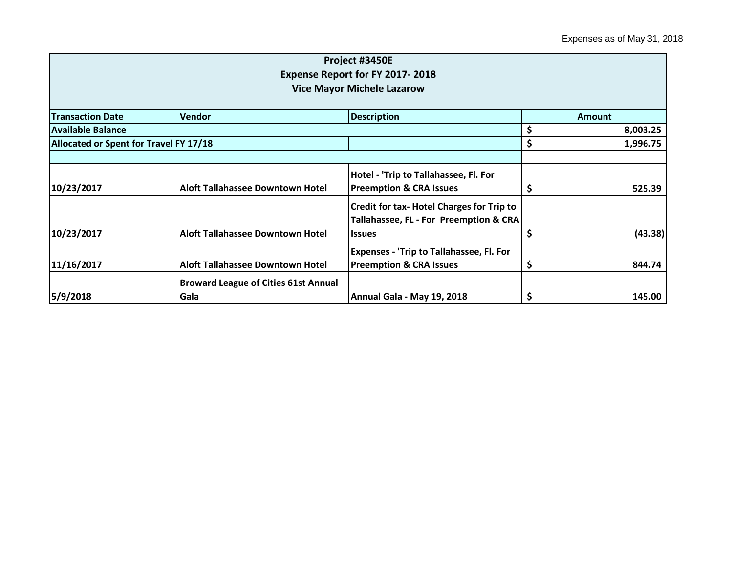|                                        |                                             | Project #3450E                                   |               |          |  |
|----------------------------------------|---------------------------------------------|--------------------------------------------------|---------------|----------|--|
|                                        |                                             | Expense Report for FY 2017-2018                  |               |          |  |
|                                        |                                             | <b>Vice Mayor Michele Lazarow</b>                |               |          |  |
|                                        |                                             |                                                  |               |          |  |
| <b>Transaction Date</b>                | Vendor                                      | <b>Description</b>                               | <b>Amount</b> |          |  |
| Available Balance                      |                                             |                                                  | \$            | 8,003.25 |  |
| Allocated or Spent for Travel FY 17/18 |                                             |                                                  | \$            | 1,996.75 |  |
|                                        |                                             |                                                  |               |          |  |
|                                        |                                             | Hotel - 'Trip to Tallahassee, Fl. For            |               |          |  |
| 10/23/2017                             | <b>Aloft Tallahassee Downtown Hotel</b>     | <b>Preemption &amp; CRA Issues</b>               | \$,           | 525.39   |  |
|                                        |                                             | <b>Credit for tax- Hotel Charges for Trip to</b> |               |          |  |
|                                        |                                             | Tallahassee, FL - For Preemption & CRA           |               |          |  |
| 10/23/2017                             | Aloft Tallahassee Downtown Hotel            | <b>Issues</b>                                    | \$,           | (43.38)  |  |
|                                        |                                             | <b>Expenses - 'Trip to Tallahassee, Fl. For</b>  |               |          |  |
| 11/16/2017                             | <b>Aloft Tallahassee Downtown Hotel</b>     | <b>Preemption &amp; CRA Issues</b>               | \$,           | 844.74   |  |
|                                        | <b>Broward League of Cities 61st Annual</b> |                                                  |               |          |  |
| 5/9/2018                               | Gala                                        | Annual Gala - May 19, 2018                       | \$            | 145.00   |  |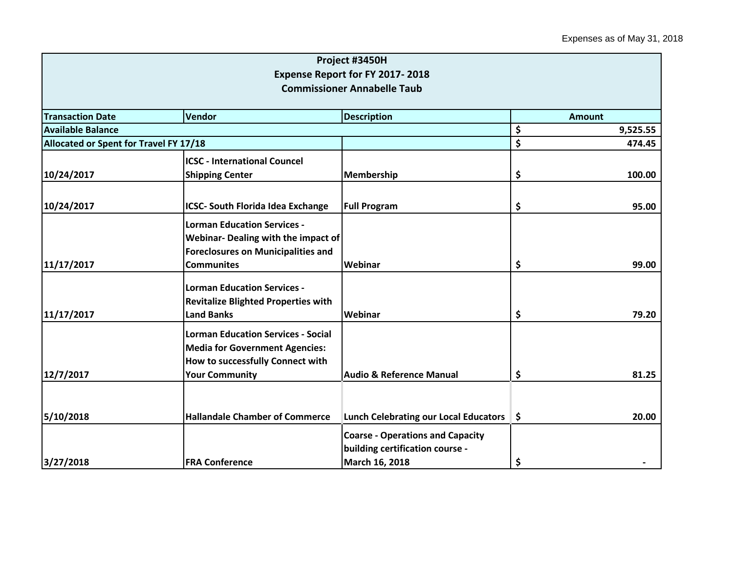|                                        |                                                                                                                        | Project #3450H                                                                               |    |          |  |  |  |
|----------------------------------------|------------------------------------------------------------------------------------------------------------------------|----------------------------------------------------------------------------------------------|----|----------|--|--|--|
|                                        |                                                                                                                        | Expense Report for FY 2017-2018<br><b>Commissioner Annabelle Taub</b>                        |    |          |  |  |  |
|                                        |                                                                                                                        |                                                                                              |    |          |  |  |  |
| <b>Transaction Date</b>                | <b>Amount</b>                                                                                                          |                                                                                              |    |          |  |  |  |
| <b>Available Balance</b>               |                                                                                                                        |                                                                                              | \$ | 9,525.55 |  |  |  |
| Allocated or Spent for Travel FY 17/18 |                                                                                                                        |                                                                                              | \$ | 474.45   |  |  |  |
|                                        | <b>ICSC - International Councel</b>                                                                                    |                                                                                              |    |          |  |  |  |
| 10/24/2017                             | <b>Shipping Center</b>                                                                                                 | <b>Membership</b>                                                                            | \$ | 100.00   |  |  |  |
| 10/24/2017                             | <b>ICSC- South Florida Idea Exchange</b>                                                                               | <b>Full Program</b>                                                                          | \$ | 95.00    |  |  |  |
|                                        | <b>Lorman Education Services -</b><br>Webinar- Dealing with the impact of<br><b>Foreclosures on Municipalities and</b> |                                                                                              |    |          |  |  |  |
| 11/17/2017                             | <b>Communites</b>                                                                                                      | Webinar                                                                                      | \$ | 99.00    |  |  |  |
| 11/17/2017                             | <b>Lorman Education Services -</b><br><b>Revitalize Blighted Properties with</b><br><b>Land Banks</b>                  | Webinar                                                                                      | \$ | 79.20    |  |  |  |
|                                        |                                                                                                                        |                                                                                              |    |          |  |  |  |
|                                        | <b>Lorman Education Services - Social</b><br><b>Media for Government Agencies:</b><br>How to successfully Connect with |                                                                                              |    |          |  |  |  |
| 12/7/2017                              | <b>Your Community</b>                                                                                                  | <b>Audio &amp; Reference Manual</b>                                                          | \$ | 81.25    |  |  |  |
|                                        |                                                                                                                        |                                                                                              |    |          |  |  |  |
| 5/10/2018                              | <b>Hallandale Chamber of Commerce</b>                                                                                  | <b>Lunch Celebrating our Local Educators</b>                                                 | \$ | 20.00    |  |  |  |
| 3/27/2018                              | <b>FRA Conference</b>                                                                                                  | <b>Coarse - Operations and Capacity</b><br>building certification course -<br>March 16, 2018 | \$ |          |  |  |  |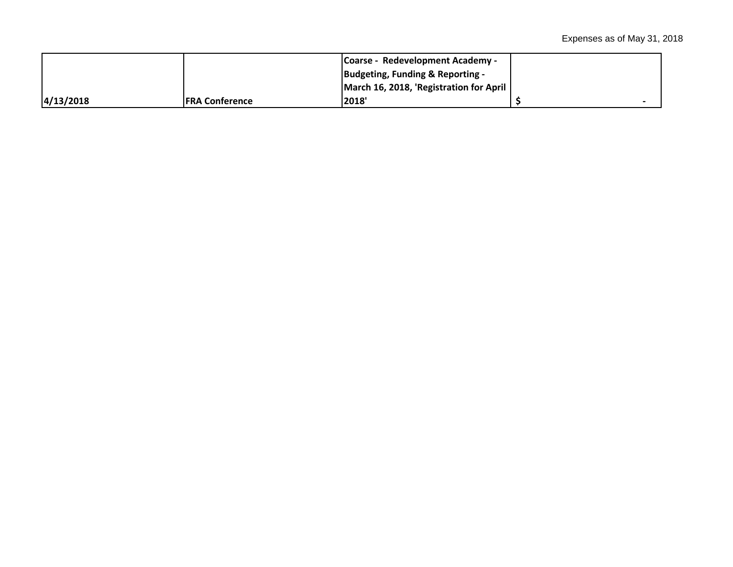|           |                 | <b>Coarse - Redevelopment Academy -</b> |  |
|-----------|-----------------|-----------------------------------------|--|
|           |                 | Budgeting, Funding & Reporting -        |  |
|           |                 | March 16, 2018, 'Registration for April |  |
| 4/13/2018 | lFRA Conference | 2018'                                   |  |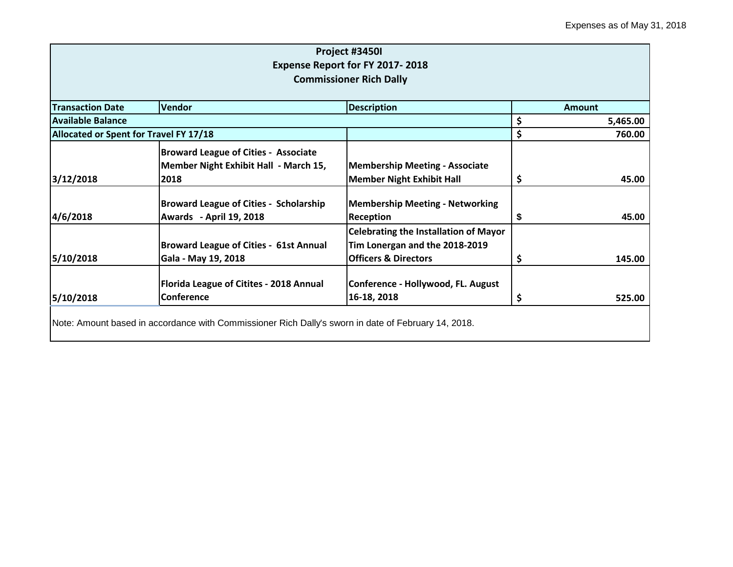|                                        |                                                                                                     | Project #3450I<br>Expense Report for FY 2017-2018<br><b>Commissioner Rich Dally</b>                               |                |
|----------------------------------------|-----------------------------------------------------------------------------------------------------|-------------------------------------------------------------------------------------------------------------------|----------------|
| <b>Transaction Date</b>                | <b>Vendor</b>                                                                                       | <b>Description</b>                                                                                                | <b>Amount</b>  |
| <b>Available Balance</b>               |                                                                                                     |                                                                                                                   | \$<br>5,465.00 |
| Allocated or Spent for Travel FY 17/18 |                                                                                                     |                                                                                                                   | \$<br>760.00   |
| 3/12/2018                              | <b>Broward League of Cities - Associate</b><br>Member Night Exhibit Hall - March 15,<br>2018        | <b>Membership Meeting - Associate</b><br><b>Member Night Exhibit Hall</b>                                         | \$<br>45.00    |
| 4/6/2018                               | <b>Broward League of Cities - Scholarship</b><br>Awards - April 19, 2018                            | <b>Membership Meeting - Networking</b><br><b>Reception</b>                                                        | \$<br>45.00    |
| 5/10/2018                              | <b>Broward League of Cities - 61st Annual</b><br>Gala - May 19, 2018                                | <b>Celebrating the Installation of Mayor</b><br>Tim Lonergan and the 2018-2019<br><b>Officers &amp; Directors</b> | \$<br>145.00   |
| 5/10/2018                              | Florida League of Citites - 2018 Annual<br>Conference                                               | Conference - Hollywood, FL. August<br>16-18, 2018                                                                 | \$<br>525.00   |
|                                        | Note: Amount based in accordance with Commissioner Rich Dally's sworn in date of February 14, 2018. |                                                                                                                   |                |